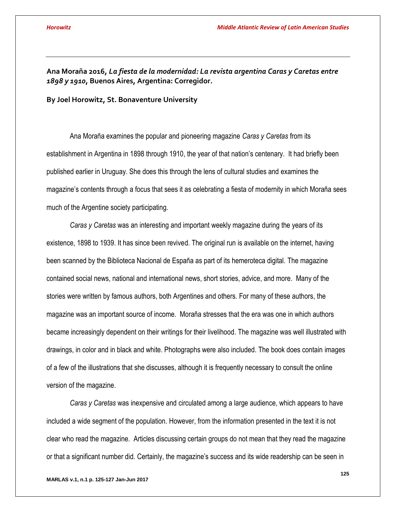**Ana Moraña 2016,** *La fiesta de la modernidad: La revista argentina Caras y Caretas entre 1898 y 1910***, Buenos Aires, Argentina: Corregidor.**

**By Joel Horowitz, St. Bonaventure University**

Ana Moraña examines the popular and pioneering magazine *Caras y Caretas* from its establishment in Argentina in 1898 through 1910, the year of that nation's centenary. It had briefly been published earlier in Uruguay. She does this through the lens of cultural studies and examines the magazine's contents through a focus that sees it as celebrating a fiesta of modernity in which Moraña sees much of the Argentine society participating.

*Caras y Caretas* was an interesting and important weekly magazine during the years of its existence, 1898 to 1939. It has since been revived. The original run is available on the internet, having been scanned by the Biblioteca Nacional de España as part of its hemeroteca digital. The magazine contained social news, national and international news, short stories, advice, and more. Many of the stories were written by famous authors, both Argentines and others. For many of these authors, the magazine was an important source of income. Moraña stresses that the era was one in which authors became increasingly dependent on their writings for their livelihood. The magazine was well illustrated with drawings, in color and in black and white. Photographs were also included. The book does contain images of a few of the illustrations that she discusses, although it is frequently necessary to consult the online version of the magazine.

*Caras y Caretas* was inexpensive and circulated among a large audience, which appears to have included a wide segment of the population. However, from the information presented in the text it is not clear who read the magazine. Articles discussing certain groups do not mean that they read the magazine or that a significant number did. Certainly, the magazine's success and its wide readership can be seen in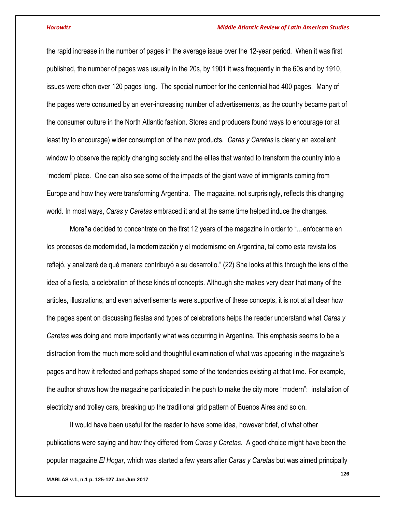the rapid increase in the number of pages in the average issue over the 12-year period. When it was first published, the number of pages was usually in the 20s, by 1901 it was frequently in the 60s and by 1910, issues were often over 120 pages long. The special number for the centennial had 400 pages. Many of the pages were consumed by an ever-increasing number of advertisements, as the country became part of the consumer culture in the North Atlantic fashion. Stores and producers found ways to encourage (or at least try to encourage) wider consumption of the new products. *Caras y Caretas* is clearly an excellent window to observe the rapidly changing society and the elites that wanted to transform the country into a "modern" place. One can also see some of the impacts of the giant wave of immigrants coming from Europe and how they were transforming Argentina. The magazine, not surprisingly, reflects this changing world. In most ways, *Caras y Caretas* embraced it and at the same time helped induce the changes.

Moraña decided to concentrate on the first 12 years of the magazine in order to "…enfocarme en los procesos de modernidad, la modernización y el modernismo en Argentina, tal como esta revista los reflejó, y analizaré de qué manera contribuyó a su desarrollo." (22) She looks at this through the lens of the idea of a fiesta, a celebration of these kinds of concepts. Although she makes very clear that many of the articles, illustrations, and even advertisements were supportive of these concepts, it is not at all clear how the pages spent on discussing fiestas and types of celebrations helps the reader understand what *Caras y Caretas* was doing and more importantly what was occurring in Argentina. This emphasis seems to be a distraction from the much more solid and thoughtful examination of what was appearing in the magazine's pages and how it reflected and perhaps shaped some of the tendencies existing at that time. For example, the author shows how the magazine participated in the push to make the city more "modern": installation of electricity and trolley cars, breaking up the traditional grid pattern of Buenos Aires and so on.

It would have been useful for the reader to have some idea, however brief, of what other publications were saying and how they differed from *Caras y Caretas*. A good choice might have been the popular magazine *El Hogar,* which was started a few years after *Caras y Caretas* but was aimed principally